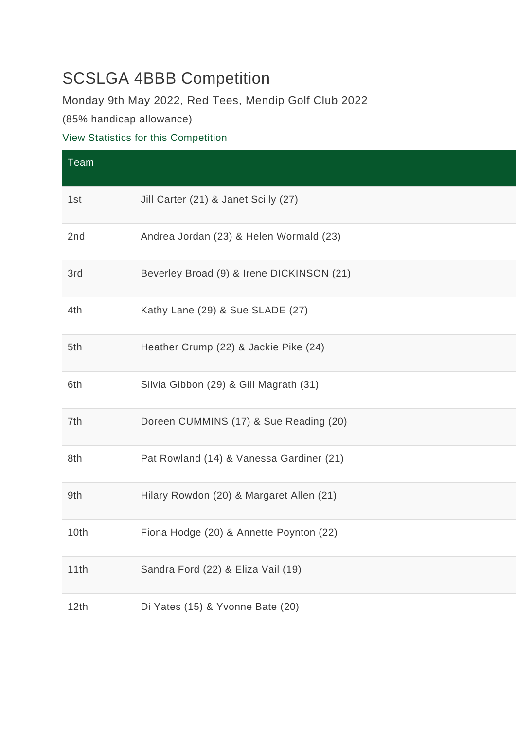## SCSLGA 4BBB Competition

Monday 9th May 2022, Red Tees, Mendip Golf Club 2022

(85% handicap allowance)

## [View Statistics for this Competition](https://www.mendipgolfclub.com/competition.php?compid=2357&go=stats)

| Team |                                           |
|------|-------------------------------------------|
| 1st  | Jill Carter (21) & Janet Scilly (27)      |
| 2nd  | Andrea Jordan (23) & Helen Wormald (23)   |
| 3rd  | Beverley Broad (9) & Irene DICKINSON (21) |
| 4th  | Kathy Lane (29) & Sue SLADE (27)          |
| 5th  | Heather Crump (22) & Jackie Pike (24)     |
| 6th  | Silvia Gibbon (29) & Gill Magrath (31)    |
| 7th  | Doreen CUMMINS (17) & Sue Reading (20)    |
| 8th  | Pat Rowland (14) & Vanessa Gardiner (21)  |
| 9th  | Hilary Rowdon (20) & Margaret Allen (21)  |
| 10th | Fiona Hodge (20) & Annette Poynton (22)   |
| 11th | Sandra Ford (22) & Eliza Vail (19)        |
| 12th | Di Yates (15) & Yvonne Bate (20)          |